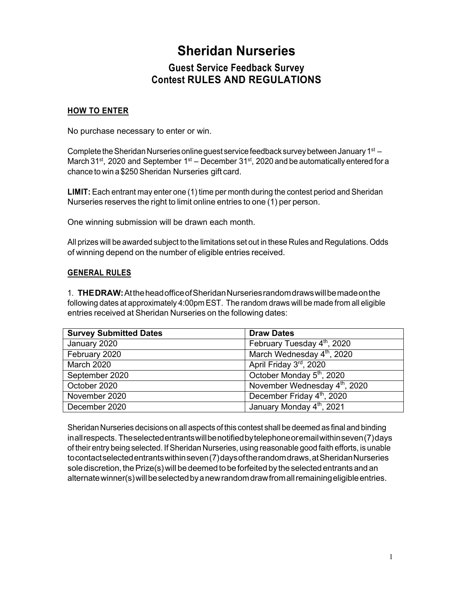## **Sheridan Nurseries**

## **Guest Service Feedback Survey Contest RULES AND REGULATIONS**

## **HOW TO ENTER**

No purchase necessary to enter or win.

Complete the Sheridan Nurseries online guest service feedback survey between January 1st  $-$ March 31<sup>st</sup>, 2020 and September 1<sup>st</sup> – December 31<sup>st</sup>, 2020 and be automatically entered for a chance to win a \$250Sheridan Nurseries gift card.

**LIMIT:** Each entrant may enter one (1) time per month during the contest period and Sheridan Nurseries reserves the right to limit online entries to one (1) per person.

One winning submission will be drawn each month.

All prizes will be awarded subject to the limitations set out in these Rules and Regulations. Odds of winning depend on the number of eligible entries received.

## **GENERAL RULES**

1. **THEDRAW:**AttheheadofficeofSheridanNurseriesrandomdrawswillbemadeonthe following dates at approximately 4:00pm EST. The random draws will be made from all eligible entries received at Sheridan Nurseries on the following dates:

| <b>Survey Submitted Dates</b> | <b>Draw Dates</b>                         |
|-------------------------------|-------------------------------------------|
| January 2020                  | February Tuesday 4 <sup>th</sup> , 2020   |
| February 2020                 | March Wednesday 4 <sup>th</sup> , 2020    |
| <b>March 2020</b>             | April Friday 3rd, 2020                    |
| September 2020                | October Monday 5 <sup>th</sup> , 2020     |
| October 2020                  | November Wednesday 4 <sup>th</sup> , 2020 |
| November 2020                 | December Friday 4th, 2020                 |
| December 2020                 | January Monday 4th, 2021                  |

Sheridan Nurseries decisions on all aspects of this contest shall be deemed as final and binding inallrespects. Theselectedentrantswillbenotifiedbytelephoneoremailwithinseven(7)days of their entry being selected. If Sheridan Nurseries, using reasonable good faith efforts, is unable tocontactselectedentrantswithinseven(7)daysoftherandomdraws,atSheridanNurseries sole discretion, the Prize(s) will be deemed to be forfeited by the selected entrants and an alternatewinner(s)willbeselectedbyanewrandomdrawfromallremainingeligibleentries.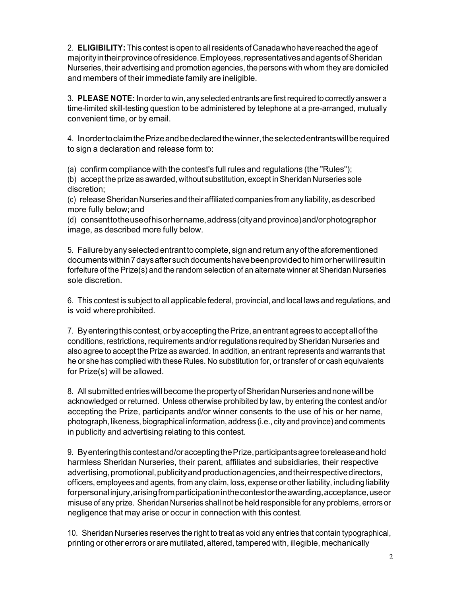2. **ELIGIBILITY:** This contest is open to allresidents of Canadawho have reached the age of majorityintheirprovinceofresidence.Employees,representativesandagentsofSheridan Nurseries, their advertising and promotion agencies, the persons with whom they are domiciled and members of their immediate family are ineligible.

3. **PLEASE NOTE:** In orderto win, any selected entrants are firstrequired to correctly answer a time-limited skill-testing question to be administered by telephone at a pre-arranged, mutually convenient time, or by email.

4. InordertoclaimthePrizeandbedeclaredthewinner,theselectedentrantswillberequired to sign a declaration and release form to:

(a) confirm compliance with the contest's full rules and regulations (the "Rules");

(b) accept the prize as awarded, without substitution, except in Sheridan Nurseries sole discretion;

(c) release Sheridan Nurseries and their affiliated companies from any liability, as described more fully below;and

(d) consenttotheuseofhisorhername,address(cityandprovince)and/orphotographor image, as described more fully below.

5. Failurebyany selectedentranttocomplete, signandreturnanyoftheaforementioned documentswithin7daysaftersuchdocumentshavebeenprovidedtohimorherwillresultin forfeiture of the Prize(s) and the random selection of an alternate winner at Sheridan Nurseries sole discretion.

6. This contest is subject to all applicable federal, provincial, and local laws and regulations, and is void where prohibited.

7. Byenteringthiscontest,orbyacceptingthePrize,anentrantagreestoacceptallofthe conditions, restrictions, requirements and/or regulations required by Sheridan Nurseries and also agree to accept the Prize as awarded. In addition, an entrant represents and warrants that he or she has complied with these Rules. No substitution for, or transfer of or cash equivalents for Prize(s) will be allowed.

8. All submitted entries will become the property of Sheridan Nurseries and none will be acknowledged or returned. Unless otherwise prohibited by law, by entering the contest and/or accepting the Prize, participants and/or winner consents to the use of his or her name, photograph, likeness, biographical information, address (i.e., city and province) and comments in publicity and advertising relating to this contest.

9. Byenteringthiscontestand/oracceptingthePrize,participantsagreetoreleaseandhold harmless Sheridan Nurseries, their parent, affiliates and subsidiaries, their respective advertising, promotional, publicity and production agencies, and their respective directors, officers, employees and agents, from any claim, loss, expense or other liability, including liability forpersonalinjury, arising from participation in the contest or the awarding, acceptance, use or misuse of any prize. Sheridan Nurseries shall not be held responsible for any problems, errors or negligence that may arise or occur in connection with this contest.

10. Sheridan Nurseries reserves the right to treat as void any entries that contain typographical, printing or other errors or are mutilated, altered, tampered with, illegible, mechanically